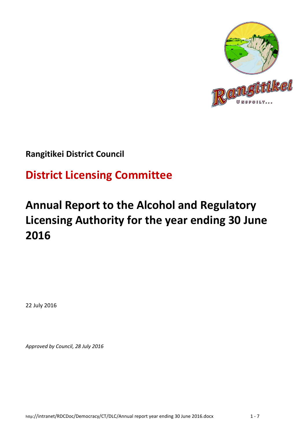

### **Rangitikei District Council**

# **District Licensing Committee**

# **Annual Report to the Alcohol and Regulatory Licensing Authority for the year ending 30 June 2016**

22 July 2016

*Approved by Council, 28 July 2016*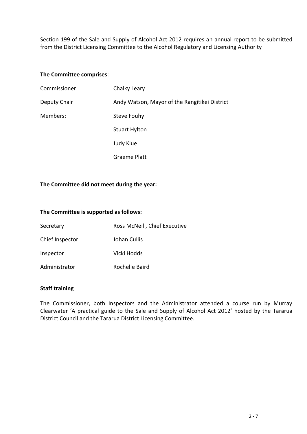Section 199 of the Sale and Supply of Alcohol Act 2012 requires an annual report to be submitted from the District Licensing Committee to the Alcohol Regulatory and Licensing Authority

#### **The Committee comprises**:

| Commissioner: | Chalky Leary                                  |
|---------------|-----------------------------------------------|
| Deputy Chair  | Andy Watson, Mayor of the Rangitikei District |
| Members:      | Steve Fouhy                                   |
|               | <b>Stuart Hylton</b>                          |
|               | Judy Klue                                     |
|               | <b>Graeme Platt</b>                           |

### **The Committee did not meet during the year:**

#### **The Committee is supported as follows:**

| Secretary       | Ross McNeil, Chief Executive |
|-----------------|------------------------------|
| Chief Inspector | Johan Cullis                 |
| Inspector       | Vicki Hodds                  |
| Administrator   | Rochelle Baird               |

#### **Staff training**

The Commissioner, both Inspectors and the Administrator attended a course run by Murray Clearwater 'A practical guide to the Sale and Supply of Alcohol Act 2012' hosted by the Tararua District Council and the Tararua District Licensing Committee.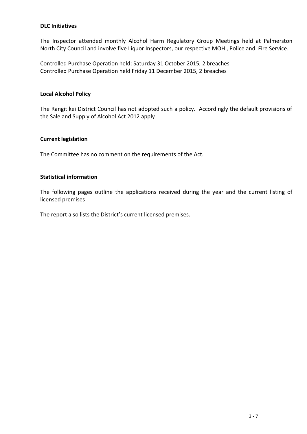### **DLC Initiatives**

The Inspector attended monthly Alcohol Harm Regulatory Group Meetings held at Palmerston North City Council and involve five Liquor Inspectors, our respective MOH , Police and Fire Service.

Controlled Purchase Operation held: Saturday 31 October 2015, 2 breaches Controlled Purchase Operation held Friday 11 December 2015, 2 breaches

#### **Local Alcohol Policy**

The Rangitikei District Council has not adopted such a policy. Accordingly the default provisions of the Sale and Supply of Alcohol Act 2012 apply

#### **Current legislation**

The Committee has no comment on the requirements of the Act.

### **Statistical information**

The following pages outline the applications received during the year and the current listing of licensed premises

The report also lists the District's current licensed premises.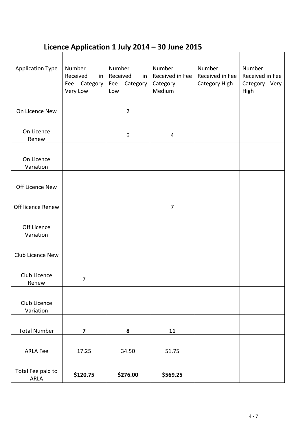## **Licence Application 1 July 2014 – 30 June 2015**

| <b>Application Type</b>   | Number<br>Received<br>in<br>Fee Category<br>Very Low | Number<br>Received<br>in<br>Category<br>Fee<br>Low | Number<br>Received in Fee<br>Category<br>Medium | Number<br>Received in Fee<br>Category High | Number<br>Received in Fee<br>Category Very<br>High |
|---------------------------|------------------------------------------------------|----------------------------------------------------|-------------------------------------------------|--------------------------------------------|----------------------------------------------------|
|                           |                                                      |                                                    |                                                 |                                            |                                                    |
| On Licence New            |                                                      | $\overline{2}$                                     |                                                 |                                            |                                                    |
|                           |                                                      |                                                    |                                                 |                                            |                                                    |
| On Licence                |                                                      | 6                                                  | 4                                               |                                            |                                                    |
| Renew                     |                                                      |                                                    |                                                 |                                            |                                                    |
| On Licence<br>Variation   |                                                      |                                                    |                                                 |                                            |                                                    |
|                           |                                                      |                                                    |                                                 |                                            |                                                    |
| Off Licence New           |                                                      |                                                    |                                                 |                                            |                                                    |
|                           |                                                      |                                                    |                                                 |                                            |                                                    |
| Off licence Renew         |                                                      |                                                    | $\overline{7}$                                  |                                            |                                                    |
|                           |                                                      |                                                    |                                                 |                                            |                                                    |
| Off Licence               |                                                      |                                                    |                                                 |                                            |                                                    |
| Variation                 |                                                      |                                                    |                                                 |                                            |                                                    |
| Club Licence New          |                                                      |                                                    |                                                 |                                            |                                                    |
|                           |                                                      |                                                    |                                                 |                                            |                                                    |
| Club Licence              | 7                                                    |                                                    |                                                 |                                            |                                                    |
| Renew                     |                                                      |                                                    |                                                 |                                            |                                                    |
|                           |                                                      |                                                    |                                                 |                                            |                                                    |
| Club Licence<br>Variation |                                                      |                                                    |                                                 |                                            |                                                    |
|                           |                                                      |                                                    |                                                 |                                            |                                                    |
| <b>Total Number</b>       | $\overline{\mathbf{z}}$                              | ${\bf 8}$                                          | 11                                              |                                            |                                                    |
|                           |                                                      |                                                    |                                                 |                                            |                                                    |
| <b>ARLA Fee</b>           | 17.25                                                | 34.50                                              | 51.75                                           |                                            |                                                    |
|                           |                                                      |                                                    |                                                 |                                            |                                                    |
| Total Fee paid to<br>ARLA | \$120.75                                             | \$276.00                                           | \$569.25                                        |                                            |                                                    |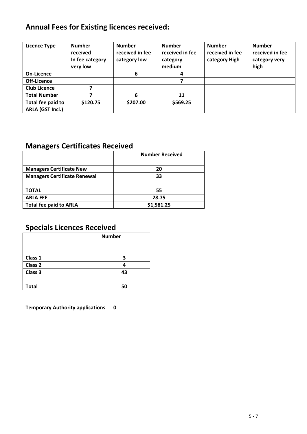## **Annual Fees for Existing licences received:**

| <b>Licence Type</b>                   | <b>Number</b><br>received<br>In fee category<br>very low | <b>Number</b><br>received in fee<br>category low | <b>Number</b><br>received in fee<br>category<br>medium | <b>Number</b><br>received in fee<br>category High | <b>Number</b><br>received in fee<br>category very<br>high |
|---------------------------------------|----------------------------------------------------------|--------------------------------------------------|--------------------------------------------------------|---------------------------------------------------|-----------------------------------------------------------|
| On-Licence                            |                                                          | 6                                                | 4                                                      |                                                   |                                                           |
| Off-Licence                           |                                                          |                                                  |                                                        |                                                   |                                                           |
| <b>Club Licence</b>                   | 7                                                        |                                                  |                                                        |                                                   |                                                           |
| <b>Total Number</b>                   |                                                          | 6                                                | 11                                                     |                                                   |                                                           |
| Total fee paid to<br>ARLA (GST Incl.) | \$120.75                                                 | \$207.00                                         | \$569.25                                               |                                                   |                                                           |

## **Managers Certificates Received**

|                                     | <b>Number Received</b> |
|-------------------------------------|------------------------|
|                                     |                        |
| <b>Managers Certificate New</b>     | 20                     |
| <b>Managers Certificate Renewal</b> | 33                     |
|                                     |                        |
| <b>TOTAL</b>                        | 55                     |
| <b>ARLA FEE</b>                     | 28.75                  |
| <b>Total fee paid to ARLA</b>       | \$1,581.25             |

### **Specials Licences Received**

|              | <b>Number</b> |  |
|--------------|---------------|--|
|              |               |  |
|              |               |  |
| Class 1      | 3             |  |
| Class 2      |               |  |
| Class 3      | 43            |  |
|              |               |  |
| <b>Total</b> | 50            |  |

**Temporary Authority applications 0**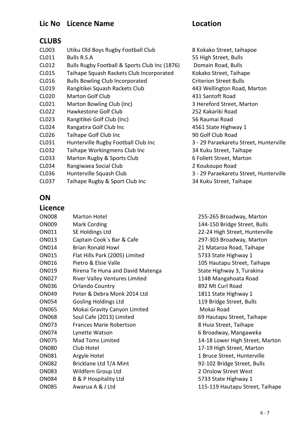### **Lic No Licence Name Location**

### **CLUBS**

| CL003 | Utiku Old Boys Rugby Football Club            | 8 Kokako Street, taihapo      |
|-------|-----------------------------------------------|-------------------------------|
| CL011 | <b>Bulls R.S.A</b>                            | 55 High Street, Bulls         |
| CL012 | Bulls Rugby Football & Sports Club Inc (1876) | Domain Road, Bulls            |
| CL015 | Taihape Squash Rackets Club Incorporated      | Kokako Street, Taihape        |
| CL016 | <b>Bulls Bowling Club Incorporated</b>        | <b>Criterion Street Bulls</b> |
| CL019 | Rangitikei Squash Rackets Club                | 443 Wellington Road, M        |
| CL020 | <b>Marton Golf Club</b>                       | 431 Santoft Road              |
| CL021 | Marton Bowling Club (Inc)                     | 3 Hereford Street, Marto      |
| CL022 | Hawkestone Golf Club                          | 252 Kakariki Road             |
| CL023 | Rangitikei Golf Club (Inc)                    | 56 Raumai Road                |
| CL024 | Rangatira Golf Club Inc                       | 4561 State Highway 1          |
| CL026 | Taihape Golf Club Inc                         | 90 Golf Club Road             |
| CL031 | Hunterville Rugby Football Club Inc           | 3 - 29 Paraekaretu Stree      |
| CL032 | Taihape Workingmens Club Inc                  | 34 Kuku Street, Taihape       |
| CL033 | Marton Rugby & Sports Club                    | 6 Follett Street, Marton      |
| CL034 | Rangiwaea Social Club                         | 2 Koukoupo Road               |
| CL036 | Hunterville Squash Club                       | 3 - 29 Paraekaretu Stree      |
| CL037 | Taihape Rugby & Sport Club Inc                | 34 Kuku Street, Taihape       |

8 Kokako Street, taihapoe 55 High Street, Bulls Domain Road, Bulls Kokako Street, Taihape Criterion Street Bulls 443 Wellington Road, Marton 431 Santoft Road 3 Hereford Street, Marton 252 Kakariki Road 56 Raumai Road 4561 State Highway 1 90 Golf Club Road 3 - 29 Paraekaretu Street, Hunterville 34 Kuku Street, Taihape 6 Follett Street, Marton 2 Koukoupo Road 3 - 29 Paraekaretu Street, Hunterville

### **ON**

### **Licence**

| <b>ON008</b> | <b>Marton Hotel</b>                  |
|--------------|--------------------------------------|
| ON009        | <b>Mark Cording</b>                  |
| ON011        | SE Holdings Ltd                      |
| ON013        | Captain Cook's Bar & Cafe            |
| ON014        | Brian Ronald Howl                    |
| ON015        | Flat Hills Park (2005) Limited       |
| ON016        | Pietro & Elsie Valle                 |
| ON019        | Rirena Te Huna and David Matenga     |
| <b>ON027</b> | <b>River Valley Ventures Limited</b> |
| <b>ON036</b> | <b>Orlando Country</b>               |
| ON049        | Peter & Debra Monk 2014 Ltd          |
| <b>ON054</b> | <b>Gosling Holdings Ltd</b>          |
| ON065        | Mokai Gravity Canyon Limited         |
| <b>ON068</b> | Soul Cafe (2013) Limited             |
| <b>ON073</b> | <b>Frances Marie Robertson</b>       |
| <b>ON074</b> | Lynette Watson                       |
| ON075        | Mad Toms Limited                     |
| <b>ON080</b> | Club Hotel                           |
| ON081        | Argyle Hotel                         |
| <b>ON082</b> | Bricklane Ltd T/A Mint               |
| <b>ON083</b> | Wildfern Group Ltd                   |
| <b>ON084</b> | <b>B &amp; P Hospitality Ltd</b>     |
| <b>ON085</b> | Awarua A & J Ltd                     |
|              |                                      |

255-265 Broadway, Marton 144-150 Bridge Street, Bulls 22-24 High Street, Hunterville 297-303 Broadway, Marton 21 Mataroa Road, Taihape 5733 State Highway 1 105 Hautapu Street, Taihape State Highway 3, Turakina 114B Mangahoata Road 892 Mt Curl Road 1811 State Highway 1 119 Bridge Street, Bulls Mokai Road 69 Hautapu Street, Taihape 8 Huia Street, Taihape 6 Broadway, Mangaweka 14-18 Lower High Street, Marton 17-19 High Street, Marton 1 Bruce Street, Hunterville 92-102 Bridge Street, Bulls 2 Onslow Street West 5733 State Highway 1 115-119 Hautapu Street, Taihape